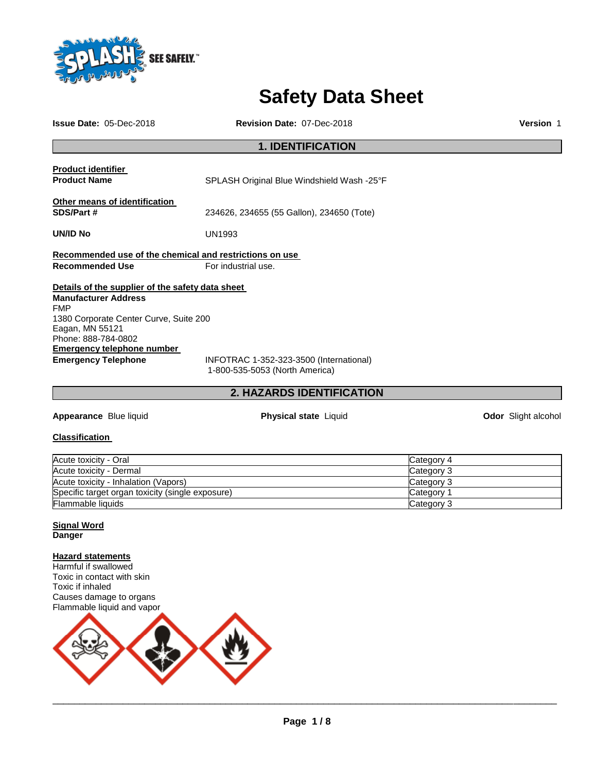

# **Safety Data Sheet**

**Issue Date:** 05-Dec-2018 **Revision Date:** 07-Dec-2018 **Version** 1

# **1. IDENTIFICATION Product identifier Product Name SPLASH Original Blue Windshield Wash -25°F Other means of identification SDS/Part #** 234626, 234655 (55 Gallon), 234650 (Tote) **UN/ID No** UN1993 **Recommended use of the chemical and restrictions on use Recommended Use For industrial use. Details of the supplier of the safety data sheet Manufacturer Address** FMP 1380 Corporate Center Curve, Suite 200 Eagan, MN 55121 Phone: 888-784-0802 **Emergency telephone number Emergency Telephone** INFOTRAC 1-352-323-3500 (International)

1-800-535-5053 (North America)

# **2. HAZARDS IDENTIFICATION**

**Appearance** Blue liquid **Physical state** Liquid **Odor** Slight alcohol

# **Classification**

| Acute toxicity - Oral                            | Category 4 |
|--------------------------------------------------|------------|
| Acute toxicity - Dermal                          | Category 3 |
| Acute toxicity - Inhalation (Vapors)             | Category 3 |
| Specific target organ toxicity (single exposure) | Category 1 |
| <b>Flammable liquids</b>                         | Category 3 |

**Signal Word Danger** 

# **Hazard statements**

Harmful if swallowed Toxic in contact with skin Toxic if inhaled Causes damage to organs Flammable liquid and vapor

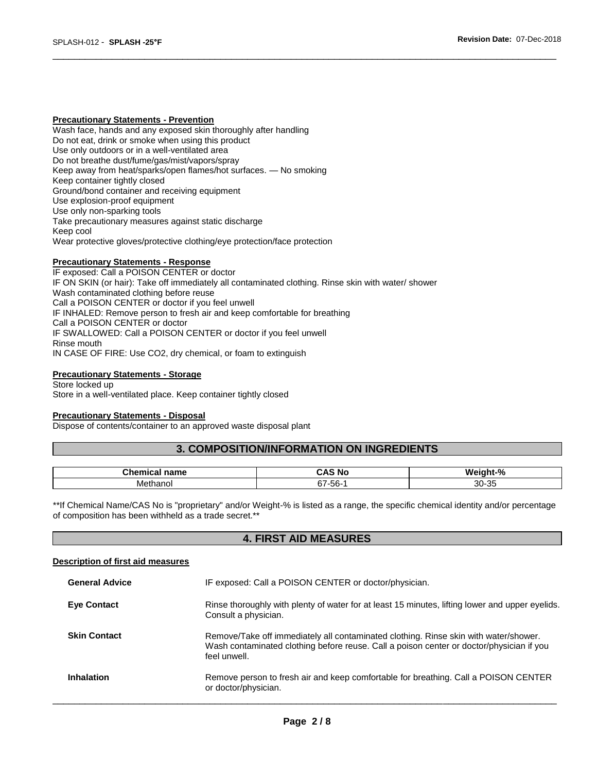#### **Precautionary Statements - Prevention**

Wash face, hands and any exposed skin thoroughly after handling Do not eat, drink or smoke when using this product Use only outdoors or in a well-ventilated area Do not breathe dust/fume/gas/mist/vapors/spray Keep away from heat/sparks/open flames/hot surfaces. — No smoking Keep container tightly closed Ground/bond container and receiving equipment Use explosion-proof equipment Use only non-sparking tools Take precautionary measures against static discharge Keep cool Wear protective gloves/protective clothing/eye protection/face protection

### **Precautionary Statements - Response**

IF exposed: Call a POISON CENTER or doctor IF ON SKIN (or hair): Take off immediately all contaminated clothing. Rinse skin with water/ shower Wash contaminated clothing before reuse Call a POISON CENTER or doctor if you feel unwell IF INHALED: Remove person to fresh air and keep comfortable for breathing Call a POISON CENTER or doctor IF SWALLOWED: Call a POISON CENTER or doctor if you feel unwell Rinse mouth IN CASE OF FIRE: Use CO2, dry chemical, or foam to extinguish

#### **Precautionary Statements - Storage**

Store locked up Store in a well-ventilated place. Keep container tightly closed

### **Precautionary Statements - Disposal**

Dispose of contents/container to an approved waste disposal plant

# **3. COMPOSITION/INFORMATION ON INGREDIENTS**

\_\_\_\_\_\_\_\_\_\_\_\_\_\_\_\_\_\_\_\_\_\_\_\_\_\_\_\_\_\_\_\_\_\_\_\_\_\_\_\_\_\_\_\_\_\_\_\_\_\_\_\_\_\_\_\_\_\_\_\_\_\_\_\_\_\_\_\_\_\_\_\_\_\_\_\_\_\_\_\_\_\_\_\_\_\_\_\_\_\_\_\_\_

| ^'<br>ше     | . .<br>. И<br>N. | .<br>                    |
|--------------|------------------|--------------------------|
| ™e™<br>12000 | 67<br>ึงเ        | $\sim$<br>ഹ<br>-ಎಂ<br>ບບ |

\*\*If Chemical Name/CAS No is "proprietary" and/or Weight-% is listed as a range, the specific chemical identity and/or percentage of composition has been withheld as a trade secret.\*\*

# **4. FIRST AID MEASURES**

#### **Description of first aid measures**

| <b>General Advice</b> | IF exposed: Call a POISON CENTER or doctor/physician.                                                                                                                                            |
|-----------------------|--------------------------------------------------------------------------------------------------------------------------------------------------------------------------------------------------|
| <b>Eye Contact</b>    | Rinse thoroughly with plenty of water for at least 15 minutes, lifting lower and upper eyelids.<br>Consult a physician.                                                                          |
| <b>Skin Contact</b>   | Remove/Take off immediately all contaminated clothing. Rinse skin with water/shower.<br>Wash contaminated clothing before reuse. Call a poison center or doctor/physician if you<br>feel unwell. |
| <b>Inhalation</b>     | Remove person to fresh air and keep comfortable for breathing. Call a POISON CENTER<br>or doctor/physician.                                                                                      |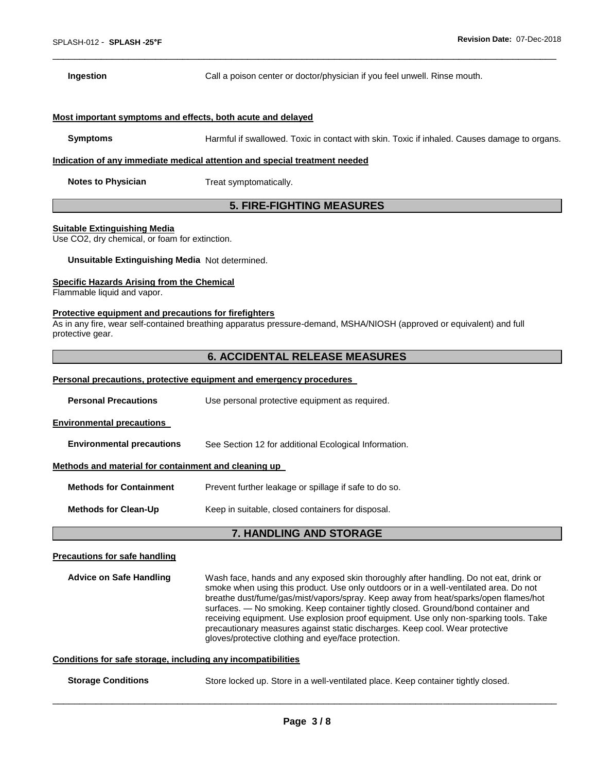**Ingestion Call a poison center or doctor/physician if you feel unwell. Rinse mouth.** 

# **Most important symptoms and effects, both acute and delayed**

**Symptoms** Harmful if swallowed. Toxic in contact with skin. Toxic if inhaled. Causes damage to organs.

\_\_\_\_\_\_\_\_\_\_\_\_\_\_\_\_\_\_\_\_\_\_\_\_\_\_\_\_\_\_\_\_\_\_\_\_\_\_\_\_\_\_\_\_\_\_\_\_\_\_\_\_\_\_\_\_\_\_\_\_\_\_\_\_\_\_\_\_\_\_\_\_\_\_\_\_\_\_\_\_\_\_\_\_\_\_\_\_\_\_\_\_\_

# **Indication of any immediate medical attention and special treatment needed**

**Notes to Physician Treat symptomatically.** 

# **5. FIRE-FIGHTING MEASURES**

#### **Suitable Extinguishing Media**

Use CO2, dry chemical, or foam for extinction.

# **Unsuitable Extinguishing Media** Not determined.

# **Specific Hazards Arising from the Chemical**

Flammable liquid and vapor.

#### **Protective equipment and precautions for firefighters**

As in any fire, wear self-contained breathing apparatus pressure-demand, MSHA/NIOSH (approved or equivalent) and full protective gear.

# **6. ACCIDENTAL RELEASE MEASURES**

#### **Personal precautions, protective equipment and emergency procedures**

|                                                      | <b>7. HANDLING AND STORAGE</b>                        |
|------------------------------------------------------|-------------------------------------------------------|
| <b>Methods for Clean-Up</b>                          | Keep in suitable, closed containers for disposal.     |
| <b>Methods for Containment</b>                       | Prevent further leakage or spillage if safe to do so. |
| Methods and material for containment and cleaning up |                                                       |
| <b>Environmental precautions</b>                     | See Section 12 for additional Ecological Information. |
| <b>Environmental precautions</b>                     |                                                       |
| <b>Personal Precautions</b>                          | Use personal protective equipment as required.        |
|                                                      |                                                       |

# **Precautions for safe handling**

**Advice on Safe Handling** Wash face, hands and any exposed skin thoroughly after handling. Do not eat, drink or smoke when using this product. Use only outdoors or in a well-ventilated area. Do not breathe dust/fume/gas/mist/vapors/spray. Keep away from heat/sparks/open flames/hot surfaces. — No smoking. Keep container tightly closed. Ground/bond container and receiving equipment. Use explosion proof equipment. Use only non-sparking tools. Take precautionary measures against static discharges. Keep cool. Wear protective gloves/protective clothing and eye/face protection.

# **Conditions for safe storage, including any incompatibilities**

# **Storage Conditions** Store locked up. Store in a well-ventilated place. Keep container tightly closed.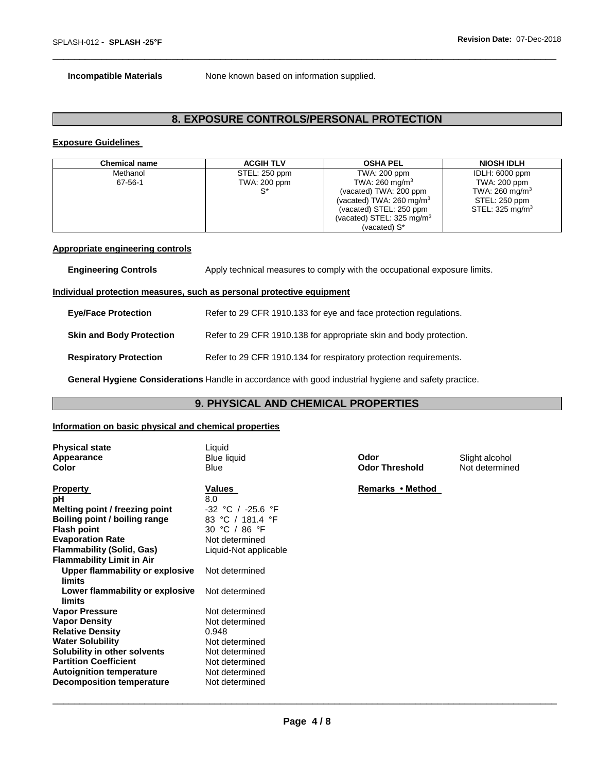**Incompatible Materials** None known based on information supplied.

# **8. EXPOSURE CONTROLS/PERSONAL PROTECTION**

\_\_\_\_\_\_\_\_\_\_\_\_\_\_\_\_\_\_\_\_\_\_\_\_\_\_\_\_\_\_\_\_\_\_\_\_\_\_\_\_\_\_\_\_\_\_\_\_\_\_\_\_\_\_\_\_\_\_\_\_\_\_\_\_\_\_\_\_\_\_\_\_\_\_\_\_\_\_\_\_\_\_\_\_\_\_\_\_\_\_\_\_\_

# **Exposure Guidelines**

| Chemical name | <b>ACGIH TLV</b> | <b>OSHA PEL</b>                      | <b>NIOSH IDLH</b>          |
|---------------|------------------|--------------------------------------|----------------------------|
| Methanol      | STEL: 250 ppm    | TWA: 200 ppm                         | IDLH: 6000 ppm             |
| 67-56-1       | TWA: 200 ppm     | TWA: 260 mg/m <sup>3</sup>           | TWA: 200 ppm               |
|               |                  | (vacated) TWA: 200 ppm               | TWA: 260 mg/m <sup>3</sup> |
|               |                  | (vacated) TWA: $260 \text{ mg/m}^3$  | STEL: 250 ppm              |
|               |                  | (vacated) STEL: 250 ppm              | STEL: 325 mg/m $3$         |
|               |                  | (vacated) STEL: $325 \text{ mg/m}^3$ |                            |
|               |                  | (vacated) S*                         |                            |

# **Appropriate engineering controls**

| <b>Engineering Controls</b>     | Apply technical measures to comply with the occupational exposure limits.    |
|---------------------------------|------------------------------------------------------------------------------|
|                                 | <u>Individual protection measures, such as personal protective equipment</u> |
| <b>Eye/Face Protection</b>      | Refer to 29 CFR 1910.133 for eye and face protection regulations.            |
| <b>Skin and Body Protection</b> | Refer to 29 CFR 1910.138 for appropriate skin and body protection.           |
| <b>Respiratory Protection</b>   | Refer to 29 CFR 1910.134 for respiratory protection requirements.            |
|                                 |                                                                              |

**General Hygiene Considerations** Handle in accordance with good industrial hygiene and safety practice.

# **9. PHYSICAL AND CHEMICAL PROPERTIES**

# **Information on basic physical and chemical properties**

| <b>Physical state</b><br><b>Appearance</b><br>Color                                                                                                                                                                                        | Liquid<br><b>Blue liquid</b><br><b>Blue</b>                                                                                         | Odor<br><b>Odor Threshold</b> | Slight alcohol<br>Not determined |
|--------------------------------------------------------------------------------------------------------------------------------------------------------------------------------------------------------------------------------------------|-------------------------------------------------------------------------------------------------------------------------------------|-------------------------------|----------------------------------|
| <b>Property</b><br>рH<br>Melting point / freezing point<br>Boiling point / boiling range<br><b>Flash point</b><br><b>Evaporation Rate</b><br><b>Flammability (Solid, Gas)</b>                                                              | Values<br>8.0<br>-32 °C / -25.6 °F<br>83 °C / 181.4 °F<br>30 °C / 86 °F<br>Not determined<br>Liquid-Not applicable                  | Remarks • Method              |                                  |
| <b>Flammability Limit in Air</b><br>Upper flammability or explosive<br>limits<br>Lower flammability or explosive<br>limits                                                                                                                 | Not determined<br>Not determined                                                                                                    |                               |                                  |
| <b>Vapor Pressure</b><br><b>Vapor Density</b><br><b>Relative Density</b><br><b>Water Solubility</b><br>Solubility in other solvents<br><b>Partition Coefficient</b><br><b>Autoignition temperature</b><br><b>Decomposition temperature</b> | Not determined<br>Not determined<br>0.948<br>Not determined<br>Not determined<br>Not determined<br>Not determined<br>Not determined |                               |                                  |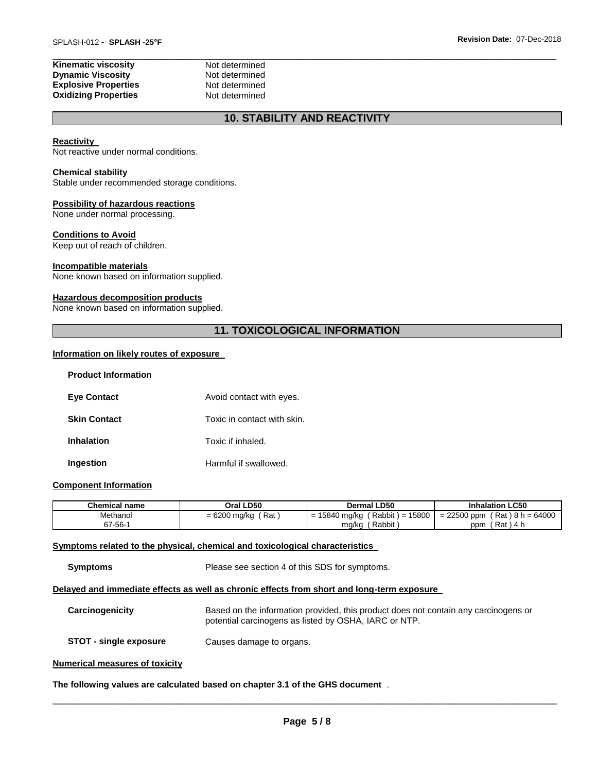| Not determined |
|----------------|
| Not determined |
| Not determined |
| Not determined |
|                |

# **10. STABILITY AND REACTIVITY**

\_\_\_\_\_\_\_\_\_\_\_\_\_\_\_\_\_\_\_\_\_\_\_\_\_\_\_\_\_\_\_\_\_\_\_\_\_\_\_\_\_\_\_\_\_\_\_\_\_\_\_\_\_\_\_\_\_\_\_\_\_\_\_\_\_\_\_\_\_\_\_\_\_\_\_\_\_\_\_\_\_\_\_\_\_\_\_\_\_\_\_\_\_

#### **Reactivity**

Not reactive under normal conditions.

#### **Chemical stability**

Stable under recommended storage conditions.

#### **Possibility of hazardous reactions**

None under normal processing.

#### **Conditions to Avoid**

Keep out of reach of children.

#### **Incompatible materials**

None known based on information supplied.

# **Hazardous decomposition products**

None known based on information supplied.

# **11. TOXICOLOGICAL INFORMATION**

# **Information on likely routes of exposure**

| <b>Product Information</b> |                             |
|----------------------------|-----------------------------|
| <b>Eye Contact</b>         | Avoid contact with eyes.    |
| <b>Skin Contact</b>        | Toxic in contact with skin. |
| <b>Inhalation</b>          | Toxic if inhaled.           |
| Ingestion                  | Harmful if swallowed.       |

# **Component Information**

| <b>Chemical name</b> | Oral LD50             | <b>Dermal LD50</b>                     | <b>Inhalation LC50</b>          |
|----------------------|-----------------------|----------------------------------------|---------------------------------|
| Methanol             | Rat<br>$= 6200$ mg/kg | $(Rabbit) =$<br>15800<br>= 15840 mg/kg | $= 22500$ ppm (Rat) 8 h = 64000 |
| 67-56-1              |                       | ' Rabbit,<br>mg/kg                     | (Rat)4 h<br>ppm                 |

#### **Symptoms related to the physical, chemical and toxicological characteristics**

**Symptoms** Please see section 4 of this SDS for symptoms.

#### **Delayed and immediate effects as well as chronic effects from short and long-term exposure**

| Carcinogenicity               | Based on the information provided, this product does not contain any carcinogens or<br>potential carcinogens as listed by OSHA, IARC or NTP. |
|-------------------------------|----------------------------------------------------------------------------------------------------------------------------------------------|
| <b>STOT - single exposure</b> | Causes damage to organs.                                                                                                                     |
|                               |                                                                                                                                              |

# **Numerical measures of toxicity**

**The following values are calculated based on chapter 3.1 of the GHS document** .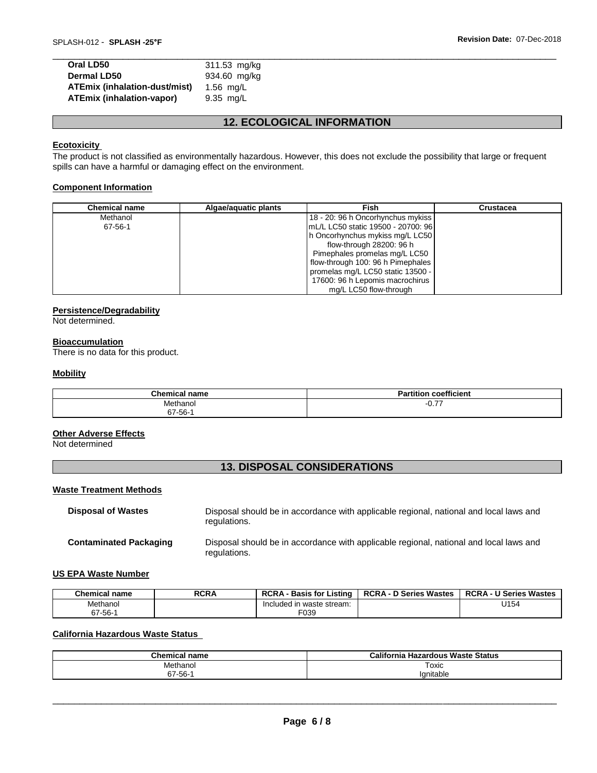| Oral LD50                            | 311.53 mg/kg |
|--------------------------------------|--------------|
| <b>Dermal LD50</b>                   | 934.60 mg/kg |
| <b>ATEmix (inhalation-dust/mist)</b> | 1.56 mg/L    |
| <b>ATEmix (inhalation-vapor)</b>     | 9.35 mg/L    |
|                                      |              |

# **12. ECOLOGICAL INFORMATION**

# **Ecotoxicity**

The product is not classified as environmentally hazardous. However, this does not exclude the possibility that large or frequent spills can have a harmful or damaging effect on the environment.

# **Component Information**

| <b>Chemical name</b> | Algae/aquatic plants | Fish                               | Crustacea |
|----------------------|----------------------|------------------------------------|-----------|
| Methanol             |                      | 18 - 20: 96 h Oncorhynchus mykiss  |           |
| 67-56-1              |                      | mL/L LC50 static 19500 - 20700: 96 |           |
|                      |                      | h Oncorhynchus mykiss mg/L LC50    |           |
|                      |                      | flow-through 28200: 96 h           |           |
|                      |                      | Pimephales promelas mg/L LC50      |           |
|                      |                      | flow-through 100: 96 h Pimephales  |           |
|                      |                      | promelas mg/L LC50 static 13500 -  |           |
|                      |                      | 17600: 96 h Lepomis macrochirus    |           |
|                      |                      | mg/L LC50 flow-through             |           |

# **Persistence/Degradability**

Not determined.

### **Bioaccumulation**

There is no data for this product.

### **Mobility**

| $P1 = 0.001$<br>$\mathbf{r}$ none<br>чань | $\overline{\phantom{a}}$<br>$  -$<br>п.<br>coofficion |
|-------------------------------------------|-------------------------------------------------------|
| Methanol                                  | --<br>$-0.1.$                                         |
| $67 - 56 - 7$                             |                                                       |

# **Other Adverse Effects**

Not determined

# **13. DISPOSAL CONSIDERATIONS**

### **Waste Treatment Methods**

| <b>Disposal of Wastes</b>     | Disposal should be in accordance with applicable regional, national and local laws and<br>regulations. |
|-------------------------------|--------------------------------------------------------------------------------------------------------|
| <b>Contaminated Packaging</b> | Disposal should be in accordance with applicable regional, national and local laws and<br>regulations. |

# **US EPA Waste Number**

| <b>Chemical name</b> | <b>RCRA</b> | <b>RCRA</b><br>'.istina<br><b>Basis for I</b> | <b>RCRA - D Series Wastes</b> | <b>RCRA - U Series Wastes</b> |
|----------------------|-------------|-----------------------------------------------|-------------------------------|-------------------------------|
| Methanol             |             | waste stream:<br>Included in                  |                               | U154                          |
| $67 - 56 -$          |             | F039                                          |                               |                               |

# **California Hazardous Waste Status**

| <b>Chemical name</b> | California<br><b>Hazardous Waste Status</b> |
|----------------------|---------------------------------------------|
| Methanol             | Toxic                                       |
| $67 - 56 -$          | Ignitable                                   |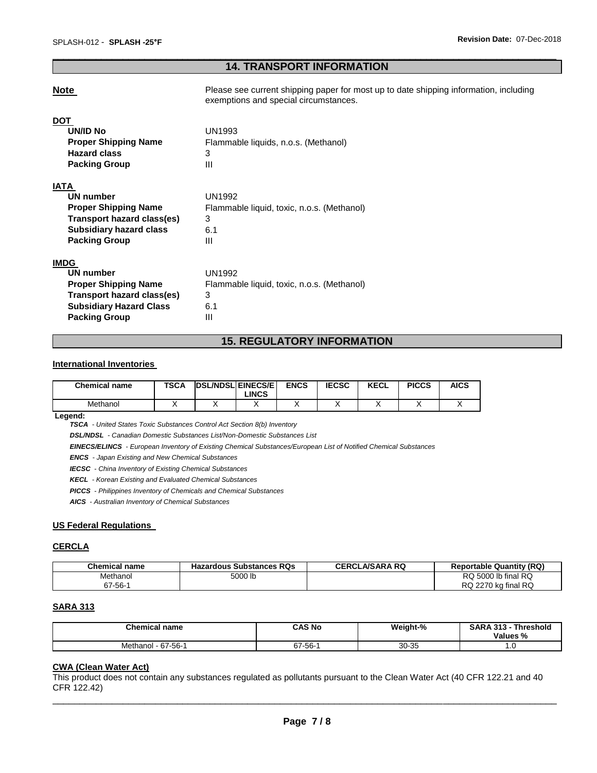# \_\_\_\_\_\_\_\_\_\_\_\_\_\_\_\_\_\_\_\_\_\_\_\_\_\_\_\_\_\_\_\_\_\_\_\_\_\_\_\_\_\_\_\_\_\_\_\_\_\_\_\_\_\_\_\_\_\_\_\_\_\_\_\_\_\_\_\_\_\_\_\_\_\_\_\_\_\_\_\_\_\_\_\_\_\_\_\_\_\_\_\_\_ **14. TRANSPORT INFORMATION**

**Note Please see current shipping paper for most up to date shipping information, including** exemptions and special circumstances.

# **DOT UN/ID No** UN1993 **Proper Shipping Name** Flammable liquids, n.o.s. (Methanol) **Hazard class** 3 **Packing Group 111 IATA UN number** UN1992 **Proper Shipping Name** Flammable liquid, toxic, n.o.s. (Methanol) **Transport hazard class(es)** 3 **Subsidiary hazard class** 6.1 **Packing Group 111**

# **IMDG**

| UN number                      | UN1992                                     |
|--------------------------------|--------------------------------------------|
| <b>Proper Shipping Name</b>    | Flammable liquid, toxic, n.o.s. (Methanol) |
| Transport hazard class(es)     | 3                                          |
| <b>Subsidiary Hazard Class</b> | 6.1                                        |
| <b>Packing Group</b>           | Ш                                          |

# **15. REGULATORY INFORMATION**

# **International Inventories**

| <b>Chemical name</b> | <b>TSCA</b> | <b>DSL/NDSL EINECS/E</b> | LINCS | <b>ENCS</b> | <b>IECSC</b> | <b>KECL</b> | <b>PICCS</b> | <b>AICS</b> |
|----------------------|-------------|--------------------------|-------|-------------|--------------|-------------|--------------|-------------|
| Methanol             |             |                          |       |             |              |             |              |             |

**Legend:** 

*TSCA - United States Toxic Substances Control Act Section 8(b) Inventory* 

*DSL/NDSL - Canadian Domestic Substances List/Non-Domestic Substances List* 

*EINECS/ELINCS - European Inventory of Existing Chemical Substances/European List of Notified Chemical Substances* 

*ENCS - Japan Existing and New Chemical Substances* 

*IECSC - China Inventory of Existing Chemical Substances* 

*KECL - Korean Existing and Evaluated Chemical Substances* 

*PICCS - Philippines Inventory of Chemicals and Chemical Substances* 

*AICS - Australian Inventory of Chemical Substances* 

# **US Federal Regulations**

# **CERCLA**

| Chemical name | <b>Hazardous Substances RQs</b> | <b>CERCLA/SARA RQ</b> | <b>Reportable Quantity (RQ)</b> |
|---------------|---------------------------------|-----------------------|---------------------------------|
| Methanol      | 5000 lb                         |                       | RQ 5000 lb final RQ             |
| 67-56-1       |                                 |                       | RQ 2270 kg final RQ             |

# **SARA 313**

| <b>Chemical name</b>              | CAS No  | Weight-% | <b>SARA 313</b><br><b>Threshold</b><br>Values % |
|-----------------------------------|---------|----------|-------------------------------------------------|
| $. -67 - 56 - 1$<br>hanol<br>Metr | 67-56-1 | 30-35    | .u                                              |

#### **CWA (Clean Water Act)**

This product does not contain any substances regulated as pollutants pursuant to the Clean Water Act (40 CFR 122.21 and 40 CFR 122.42)